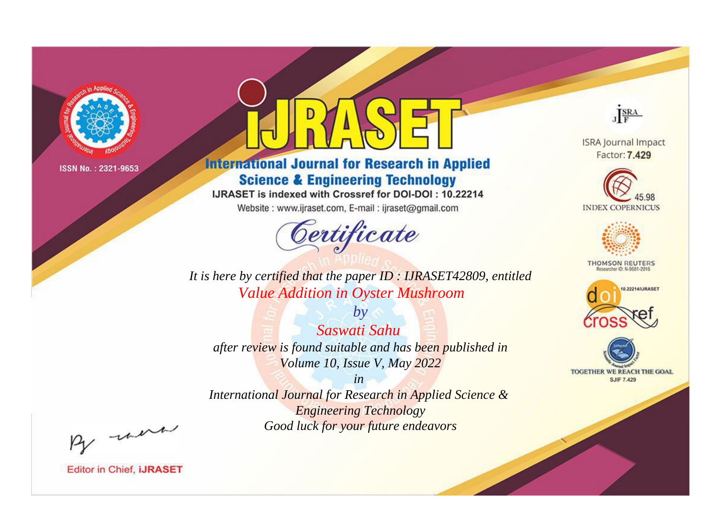

# **International Journal for Research in Applied Science & Engineering Technology**

IJRASET is indexed with Crossref for DOI-DOI: 10.22214

Website: www.ijraset.com, E-mail: ijraset@gmail.com



JERA

**ISRA Journal Impact** Factor: 7.429





**THOMSON REUTERS** 



TOGETHER WE REACH THE GOAL **SJIF 7.429** 

*It is here by certified that the paper ID : IJRASET42809, entitled Value Addition in Oyster Mushroom*

*by Saswati Sahu after review is found suitable and has been published in Volume 10, Issue V, May 2022*

*in* 

*International Journal for Research in Applied Science & Engineering Technology Good luck for your future endeavors*

By morn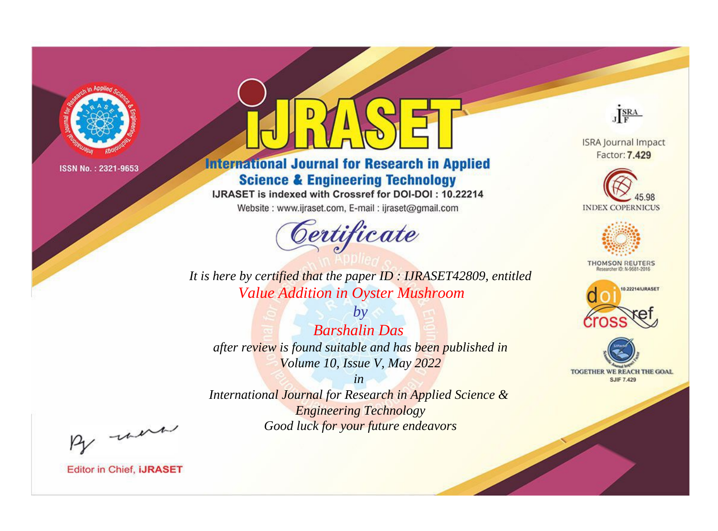

# **International Journal for Research in Applied Science & Engineering Technology**

IJRASET is indexed with Crossref for DOI-DOI: 10.22214

Website: www.ijraset.com, E-mail: ijraset@gmail.com



JERA

**ISRA Journal Impact** Factor: 7.429





**THOMSON REUTERS** 



TOGETHER WE REACH THE GOAL **SJIF 7.429** 

It is here by certified that the paper ID: IJRASET42809, entitled **Value Addition in Oyster Mushroom** 

 $b\nu$ **Barshalin Das** after review is found suitable and has been published in Volume 10, Issue V, May 2022

 $in$ International Journal for Research in Applied Science & **Engineering Technology** Good luck for your future endeavors

By morn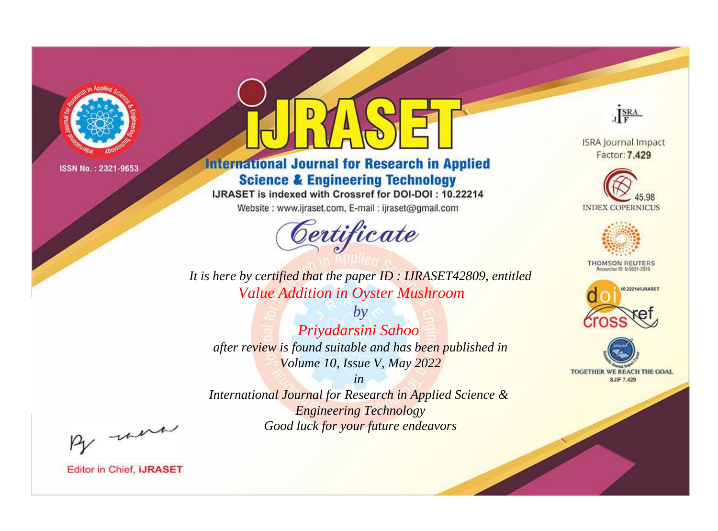

# **International Journal for Research in Applied Science & Engineering Technology**

IJRASET is indexed with Crossref for DOI-DOI: 10.22214

Website: www.ijraset.com, E-mail: ijraset@gmail.com



JERA

**ISRA Journal Impact** Factor: 7.429





**THOMSON REUTERS** 



TOGETHER WE REACH THE GOAL **SJIF 7.429** 

*It is here by certified that the paper ID : IJRASET42809, entitled Value Addition in Oyster Mushroom*

*by Priyadarsini Sahoo after review is found suitable and has been published in Volume 10, Issue V, May 2022*

*in International Journal for Research in Applied Science &* 

*Engineering Technology Good luck for your future endeavors*

By morn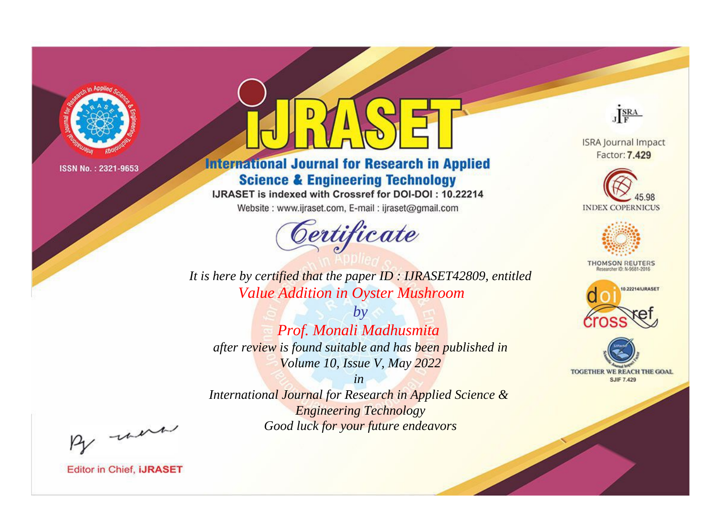

# **International Journal for Research in Applied Science & Engineering Technology**

IJRASET is indexed with Crossref for DOI-DOI: 10.22214

Website: www.ijraset.com, E-mail: ijraset@gmail.com



JERA

**ISRA Journal Impact** Factor: 7.429





**THOMSON REUTERS** 



TOGETHER WE REACH THE GOAL **SJIF 7.429** 

*It is here by certified that the paper ID : IJRASET42809, entitled Value Addition in Oyster Mushroom*

*by Prof. Monali Madhusmita after review is found suitable and has been published in Volume 10, Issue V, May 2022*

*in* 

*International Journal for Research in Applied Science & Engineering Technology Good luck for your future endeavors*

By morn